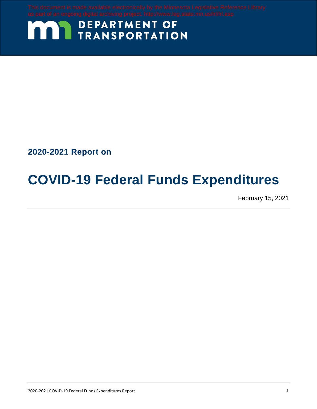# **MAY DEPARTMENT OF TRANSPORTATION**

**2020-2021 Report on**

# **COVID-19 Federal Funds Expenditures**

February 15, 2021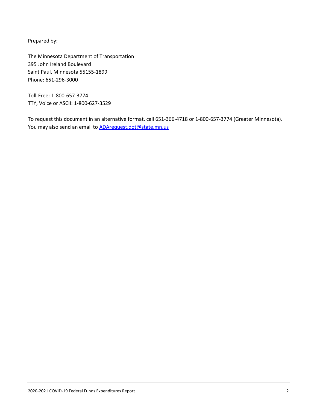Prepared by:

The Minnesota Department of Transportation 395 John Ireland Boulevard Saint Paul, Minnesota 55155-1899 Phone: 651-296-3000

Toll-Free: 1-800-657-3774 TTY, Voice or ASCII: 1-800-627-3529

To request this document in an alternative format, call 651-366-4718 or 1-800-657-3774 (Greater Minnesota). You may also send an email to **ADArequest.dot@state.mn.us**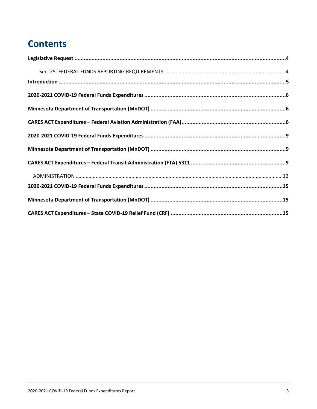### **Contents**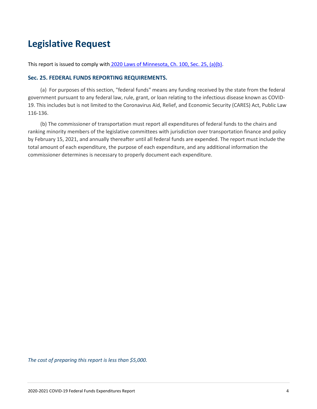#### <span id="page-3-0"></span>**Legislative Request**

<span id="page-3-1"></span>This report is issued to comply with [2020 Laws of Minnesota, Ch. 100, Sec. 25, \(a\)\(b\).](https://www.revisor.mn.gov/laws/2020/0/Session+Law/Chapter/100/)

#### **Sec. 25. FEDERAL FUNDS REPORTING REQUIREMENTS.**

(a) For purposes of this section, "federal funds" means any funding received by the state from the federal government pursuant to any federal law, rule, grant, or loan relating to the infectious disease known as COVID-19. This includes but is not limited to the Coronavirus Aid, Relief, and Economic Security (CARES) Act, Public Law 116-136.

(b) The commissioner of transportation must report all expenditures of federal funds to the chairs and ranking minority members of the legislative committees with jurisdiction over transportation finance and policy by February 15, 2021, and annually thereafter until all federal funds are expended. The report must include the total amount of each expenditure, the purpose of each expenditure, and any additional information the commissioner determines is necessary to properly document each expenditure.

*The cost of preparing this report is less than \$5,000.*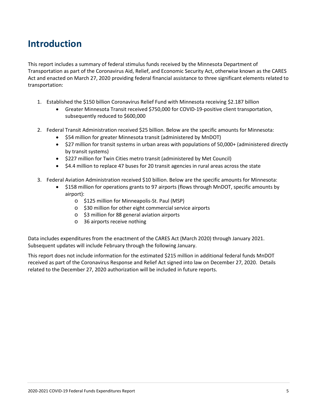#### <span id="page-4-0"></span>**Introduction**

This report includes a summary of federal stimulus funds received by the Minnesota Department of Transportation as part of the Coronavirus Aid, Relief, and Economic Security Act, otherwise known as the CARES Act and enacted on March 27, 2020 providing federal financial assistance to three significant elements related to transportation:

- 1. Established the \$150 billion Coronavirus Relief Fund with Minnesota receiving \$2.187 billion
	- Greater Minnesota Transit received \$750,000 for COVID-19-positive client transportation, subsequently reduced to \$600,000
- 2. Federal Transit Administration received \$25 billion. Below are the specific amounts for Minnesota:
	- \$54 million for greater Minnesota transit (administered by MnDOT)
	- \$27 million for transit systems in urban areas with populations of 50,000+ (administered directly by transit systems)
	- \$227 million for Twin Cities metro transit (administered by Met Council)
	- \$4.4 million to replace 47 buses for 20 transit agencies in rural areas across the state
- 3. Federal Aviation Administration received \$10 billion. Below are the specific amounts for Minnesota:
	- \$158 million for operations grants to 97 airports (flows through MnDOT, specific amounts by airport):
		- o \$125 million for Minneapolis-St. Paul (MSP)
		- o \$30 million for other eight commercial service airports
		- o \$3 million for 88 general aviation airports
		- o 36 airports receive nothing

Data includes expenditures from the enactment of the CARES Act (March 2020) through January 2021. Subsequent updates will include February through the following January.

This report does not include information for the estimated \$215 million in additional federal funds MnDOT received as part of the Coronavirus Response and Relief Act signed into law on December 27, 2020. Details related to the December 27, 2020 authorization will be included in future reports.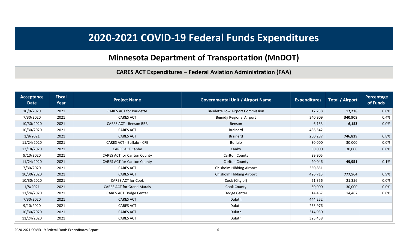# **2020-2021 COVID-19 Federal Funds Expenditures**

#### **Minnesota Department of Transportation (MnDOT)**

**CARES ACT Expenditures – Federal Aviation Administration (FAA)**

<span id="page-5-2"></span><span id="page-5-1"></span><span id="page-5-0"></span>

| Acceptance<br><b>Date</b> | <b>Fiscal</b><br>Year | <b>Project Name</b>                 | <b>Governmental Unit / Airport Name</b> | <b>Expenditures</b> | <b>Total / Airport</b> | Percentage<br>of Funds |
|---------------------------|-----------------------|-------------------------------------|-----------------------------------------|---------------------|------------------------|------------------------|
| 10/9/2020                 | 2021                  | <b>CARES ACT for Baudette</b>       | <b>Baudette Low Airport Commission</b>  | 17,238              | 17,238                 | 0.0%                   |
| 7/30/2020                 | 2021                  | <b>CARES ACT</b>                    | Bemidji Regional Airport                | 340,909             | 340,909                | 0.4%                   |
| 10/30/2020                | 2021                  | <b>CARES ACT - Benson BBB</b>       | Benson                                  | 6,153               | 6,153                  | 0.0%                   |
| 10/30/2020                | 2021                  | <b>CARES ACT</b>                    | <b>Brainerd</b>                         | 486,542             |                        |                        |
| 1/8/2021                  | 2021                  | <b>CARES ACT</b>                    | <b>Brainerd</b>                         | 260,287             | 746,829                | 0.8%                   |
| 11/24/2020                | 2021                  | CARES ACT - Buffalo - CFE           | <b>Buffalo</b>                          | 30,000              | 30,000                 | $0.0\%$                |
| 12/18/2020                | 2021                  | CARES ACT Canby                     | Canby                                   | 30,000              | 30,000                 | 0.0%                   |
| 9/10/2020                 | 2021                  | <b>CARES ACT for Carlton County</b> | Carlton County                          | 29,905              |                        |                        |
| 11/24/2020                | 2021                  | <b>CARES ACT for Carlton County</b> | Carlton County                          | 20,046              | 49,951                 | 0.1%                   |
| 7/30/2020                 | 2021                  | <b>CARES ACT</b>                    | Chisholm Hibbing Airport                | 350,851             |                        |                        |
| 10/30/2020                | 2021                  | <b>CARES ACT</b>                    | Chisholm Hibbing Airport                | 426,713             | 777,564                | 0.9%                   |
| 10/30/2020                | 2021                  | <b>CARES ACT for Cook</b>           | Cook (City of)                          | 21,356              | 21,356                 | $0.0\%$                |
| 1/8/2021                  | 2021                  | <b>CARES ACT for Grand Marais</b>   | Cook County                             | 30,000              | 30,000                 | 0.0%                   |
| 11/24/2020                | 2021                  | <b>CARES ACT Dodge Center</b>       | Dodge Center                            | 14,467              | 14,467                 | $0.0\%$                |
| 7/30/2020                 | 2021                  | <b>CARES ACT</b>                    | Duluth                                  | 444,252             |                        |                        |
| 9/10/2020                 | 2021                  | <b>CARES ACT</b>                    | Duluth                                  | 253,976             |                        |                        |
| 10/30/2020                | 2021                  | <b>CARES ACT</b>                    | Duluth                                  | 314,930             |                        |                        |
| 11/24/2020                | 2021                  | <b>CARES ACT</b>                    | Duluth                                  | 325,458             |                        |                        |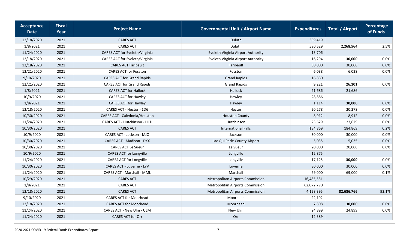| <b>Acceptance</b><br><b>Date</b> | <b>Fiscal</b><br>Year | <b>Project Name</b>               | <b>Governmental Unit / Airport Name</b> | <b>Expenditures</b> | <b>Total / Airport</b> | Percentage<br>of Funds |
|----------------------------------|-----------------------|-----------------------------------|-----------------------------------------|---------------------|------------------------|------------------------|
| 12/18/2020                       | 2021                  | <b>CARES ACT</b>                  | Duluth                                  | 339,419             |                        |                        |
| 1/8/2021                         | 2021                  | <b>CARES ACT</b>                  | Duluth                                  | 590,529             | 2,268,564              | 2.5%                   |
| 11/24/2020                       | 2021                  | CARES ACT for Eveleth/Virginia    | Eveleth Virginia Airport Authority      | 13,706              |                        |                        |
| 12/18/2020                       | 2021                  | CARES ACT for Eveleth/Virginia    | Eveleth Virginia Airport Authority      | 16,294              | 30,000                 | 0.0%                   |
| 12/18/2020                       | 2021                  | <b>CARES ACT Faribault</b>        | Faribault                               | 30,000              | 30,000                 | 0.0%                   |
| 12/21/2020                       | 2021                  | <b>CARES ACT for Fosston</b>      | Fosston                                 | 6,038               | 6,038                  | $0.0\%$                |
| 9/10/2020                        | 2021                  | <b>CARES ACT for Grand Rapids</b> | <b>Grand Rapids</b>                     | 16,880              |                        |                        |
| 12/21/2020                       | 2021                  | <b>CARES ACT for Grand Rapids</b> | <b>Grand Rapids</b>                     | 9,221               | 26,101                 | 0.0%                   |
| 1/8/2021                         | 2021                  | <b>CARES ACT for Hallock</b>      | Hallock                                 | 21,686              | 21,686                 |                        |
| 10/9/2020                        | 2021                  | <b>CARES ACT for Hawley</b>       | Hawley                                  | 28,886              |                        |                        |
| 1/8/2021                         | 2021                  | <b>CARES ACT for Hawley</b>       | Hawley                                  | 1,114               | 30,000                 | 0.0%                   |
| 12/18/2020                       | 2021                  | CARES ACT - Hector - 1D6          | Hector                                  | 20,278              | 20,278                 | 0.0%                   |
| 10/30/2020                       | 2021                  | CARES ACT - Caledonia/Houston     | <b>Houston County</b>                   | 8,912               | 8,912                  | 0.0%                   |
| 11/24/2020                       | 2021                  | CARES ACT - Hutchinson - HCD      | Hutchinson                              | 23,629              | 23,629                 | 0.0%                   |
| 10/30/2020                       | 2021                  | <b>CARES ACT</b>                  | <b>International Falls</b>              | 184,869             | 184,869                | 0.2%                   |
| 10/9/2020                        | 2021                  | CARES ACT - Jackson - MJQ         | Jackson                                 | 30,000              | 30,000                 | 0.0%                   |
| 10/30/2020                       | 2021                  | <b>CARES ACT - Madison - DXX</b>  | Lac Qui Parle County Airport            | 5,035               | 5,035                  | 0.0%                   |
| 10/30/2020                       | 2021                  | <b>CARES ACT Le Sueur</b>         | Le Sueur                                | 20,000              | 20,000                 | 0.0%                   |
| 10/9/2020                        | 2021                  | <b>CARES ACT for Longville</b>    | Longville                               | 12,875              |                        |                        |
| 11/24/2020                       | 2021                  | CARES ACT for Longville           | Longville                               | 17,125              | 30,000                 | 0.0%                   |
| 10/30/2020                       | 2021                  | CARES ACT - Luverne - LYV         | Luverne                                 | 30,000              | 30,000                 | 0.0%                   |
| 11/24/2020                       | 2021                  | <b>CARES ACT - Marshall - MML</b> | Marshall                                | 69,000              | 69,000                 | 0.1%                   |
| 10/29/2020                       | 2021                  | <b>CARES ACT</b>                  | <b>Metropolitan Airports Commission</b> | 16,485,581          |                        |                        |
| 1/8/2021                         | 2021                  | <b>CARES ACT</b>                  | <b>Metropolitan Airports Commission</b> | 62,072,790          |                        |                        |
| 12/18/2020                       | 2021                  | <b>CARES ACT</b>                  | Metropolitan Airports Commission        | 4,128,395           | 82,686,766             | 92.1%                  |
| 9/10/2020                        | 2021                  | <b>CARES ACT for Moorhead</b>     | Moorhead                                | 22,192              |                        |                        |
| 12/18/2020                       | 2021                  | <b>CARES ACT for Moorhead</b>     | Moorhead                                | 7,808               | 30,000                 | 0.0%                   |
| 11/24/2020                       | 2021                  | CARES ACT - New Ulm - ULM         | New Ulm                                 | 24,899              | 24,899                 | 0.0%                   |
| 11/24/2020                       | 2021                  | CARES ACT for Orr                 | Orr                                     | 12,389              |                        |                        |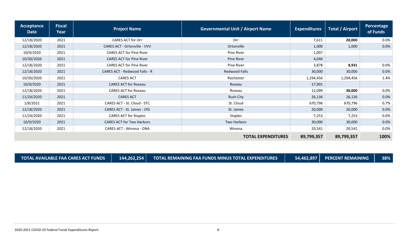| Acceptance<br><b>Date</b> | <b>Fiscal</b><br>Year | <b>Project Name</b>                  | <b>Governmental Unit / Airport Name</b> | <b>Expenditures</b> | <b>Total / Airport</b> | Percentage<br>of Funds |
|---------------------------|-----------------------|--------------------------------------|-----------------------------------------|---------------------|------------------------|------------------------|
| 12/18/2020                | 2021                  | <b>CARES ACT for Orr</b>             | Orr                                     | 7,611               | 20,000                 | $0.0\%$                |
| 12/18/2020                | 2021                  | <b>CARES ACT - Ortonville - VVV</b>  | Ortonville                              | 1,000               | 1,000                  | 0.0%                   |
| 10/9/2020                 | 2021                  | <b>CARES ACT for Pine River</b>      | Pine River                              | 1,007               |                        |                        |
| 10/30/2020                | 2021                  | <b>CARES ACT for Pine River</b>      | Pine River                              | 4,046               |                        |                        |
| 12/18/2020                | 2021                  | <b>CARES ACT for Pine River</b>      | Pine River                              | 3,878               | 8,931                  | $0.0\%$                |
| 12/18/2020                | 2021                  | <b>CARES ACT - Redwood Falls - R</b> | Redwood Falls                           | 30,000              | 30,000                 | 0.0%                   |
| 10/30/2020                | 2021                  | <b>CARES ACT</b>                     | Rochester                               | 1,294,456           | 1,294,456              | 1.4%                   |
| 10/9/2020                 | 2021                  | <b>CARES ACT for Roseau</b>          | Roseau                                  | 17,901              |                        |                        |
| 12/18/2020                | 2021                  | <b>CARES ACT for Roseau</b>          | Roseau                                  | 12,099              | 30,000                 | 0.0%                   |
| 11/24/2020                | 2021                  | <b>CARES ACT</b>                     | Rush City                               | 26,136              | 26,136                 | 0.0%                   |
| 1/8/2021                  | 2021                  | CARES ACT - St. Cloud - STC          | St. Cloud                               | 670,796             | 670,796                | 0.7%                   |
| 12/18/2020                | 2021                  | CARES ACT - St. James - JYG          | St. James                               | 20,000              | 20,000                 | 0.0%                   |
| 11/24/2020                | 2021                  | <b>CARES ACT for Staples</b>         | <b>Staples</b>                          | 7,253               | 7,253                  | 0.0%                   |
| 10/9/2020                 | 2021                  | <b>CARES ACT for Two Harbors</b>     | Two Harbors                             | 30,000              | 30,000                 | 0.0%                   |
| 12/18/2020                | 2021                  | CARES ACT - Winona - ONA             | Winona                                  | 20,541              | 20,541                 | 0.0%                   |
|                           |                       |                                      | <b>TOTAL EXPENDITURES</b>               | 89,799,357          | 89,799,357             | 100%                   |

**TOTAL AVAILABLE FAA CARES ACT FUNDS 144,262,254 TOTAL REMAINING FAA FUNDS MINUS TOTAL EXPENDITURES 54,462,897 PERCENT REMAINING 38%**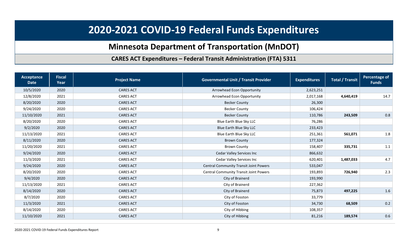## **2020-2021 COVID-19 Federal Funds Expenditures**

## **Minnesota Department of Transportation (MnDOT)**

#### **CARES ACT Expenditures – Federal Transit Administration (FTA) 5311**

<span id="page-8-2"></span><span id="page-8-1"></span><span id="page-8-0"></span>

| Acceptance<br><b>Date</b> | <b>Fiscal</b><br>Year | <b>Project Name</b> | <b>Governmental Unit / Transit Provider</b>   | <b>Expenditures</b> | <b>Total / Transit</b> | Percentage of<br><b>Funds</b> |
|---------------------------|-----------------------|---------------------|-----------------------------------------------|---------------------|------------------------|-------------------------------|
| 10/5/2020                 | 2020                  | <b>CARES ACT</b>    | Arrowhead Econ Opportunity                    | 2,623,251           |                        |                               |
| 12/8/2020                 | 2021                  | <b>CARES ACT</b>    | Arrowhead Econ Opportunity                    | 2,017,168           | 4,640,419              | 14.7                          |
| 8/20/2020                 | 2020                  | <b>CARES ACT</b>    | <b>Becker County</b>                          | 26,300              |                        |                               |
| 9/24/2020                 | 2020                  | <b>CARES ACT</b>    | <b>Becker County</b>                          | 106,424             |                        |                               |
| 11/10/2020                | 2021                  | <b>CARES ACT</b>    | <b>Becker County</b>                          | 110,786             | 243,509                | 0.8                           |
| 8/20/2020                 | 2020                  | <b>CARES ACT</b>    | Blue Earth Blue Sky LLC                       | 76,286              |                        |                               |
| 9/2/2020                  | 2020                  | <b>CARES ACT</b>    | <b>Blue Earth Blue Sky LLC</b>                | 233,423             |                        |                               |
| 11/13/2020                | 2021                  | <b>CARES ACT</b>    | Blue Earth Blue Sky LLC                       | 251,361             | 561,071                | 1.8                           |
| 8/11/2020                 | 2020                  | <b>CARES ACT</b>    | <b>Brown County</b>                           | 177,324             |                        |                               |
| 11/20/2020                | 2021                  | <b>CARES ACT</b>    | <b>Brown County</b>                           | 158,407             | 335,731                | 1.1                           |
| 9/24/2020                 | 2020                  | <b>CARES ACT</b>    | <b>Cedar Valley Services Inc</b>              | 866,632             |                        |                               |
| 11/3/2020                 | 2021                  | <b>CARES ACT</b>    | <b>Cedar Valley Services Inc</b>              | 620,401             | 1,487,033              | 4.7                           |
| 9/24/2020                 | 2020                  | <b>CARES ACT</b>    | <b>Central Community Transit Joint Powers</b> | 533,047             |                        |                               |
| 8/20/2020                 | 2020                  | <b>CARES ACT</b>    | <b>Central Community Transit Joint Powers</b> | 193,893             | 726,940                | 2.3                           |
| 9/4/2020                  | 2020                  | <b>CARES ACT</b>    | City of Brainerd                              | 193,990             |                        |                               |
| 11/13/2020                | 2021                  | <b>CARES ACT</b>    | City of Brainerd                              | 227,362             |                        |                               |
| 8/14/2020                 | 2020                  | <b>CARES ACT</b>    | City of Brainerd                              | 75,873              | 497,225                | 1.6                           |
| 8/7/2020                  | 2020                  | <b>CARES ACT</b>    | City of Fosston                               | 33,779              |                        |                               |
| 11/3/2020                 | 2021                  | <b>CARES ACT</b>    | City of Fosston                               | 34,730              | 68,509                 | 0.2                           |
| 8/14/2020                 | 2020                  | <b>CARES ACT</b>    | City of Hibbing                               | 108,357             |                        |                               |
| 11/10/2020                | 2021                  | <b>CARES ACT</b>    | City of Hibbing                               | 81,216              | 189,574                | 0.6                           |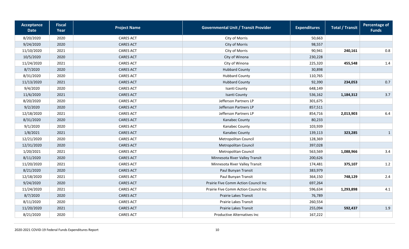| Acceptance<br><b>Date</b> | <b>Fiscal</b><br>Year | <b>Project Name</b> | <b>Governmental Unit / Transit Provider</b> | <b>Expenditures</b> | <b>Total / Transit</b> | <b>Percentage of</b><br><b>Funds</b> |
|---------------------------|-----------------------|---------------------|---------------------------------------------|---------------------|------------------------|--------------------------------------|
| 8/20/2020                 | 2020                  | <b>CARES ACT</b>    | City of Morris                              | 50,663              |                        |                                      |
| 9/24/2020                 | 2020                  | <b>CARES ACT</b>    | City of Morris                              | 98,557              |                        |                                      |
| 11/10/2020                | 2021                  | <b>CARES ACT</b>    | City of Morris                              | 90,941              | 240,161                | 0.8                                  |
| 10/5/2020                 | 2020                  | <b>CARES ACT</b>    | City of Winona                              | 230,228             |                        |                                      |
| 11/24/2020                | 2021                  | <b>CARES ACT</b>    | City of Winona                              | 225,320             | 455,548                | 1.4                                  |
| 8/7/2020                  | 2020                  | <b>CARES ACT</b>    | <b>Hubbard County</b>                       | 30,898              |                        |                                      |
| 8/31/2020                 | 2020                  | <b>CARES ACT</b>    | <b>Hubbard County</b>                       | 110,765             |                        |                                      |
| 11/13/2020                | 2021                  | <b>CARES ACT</b>    | <b>Hubbard County</b>                       | 92,390              | 234,053                | 0.7                                  |
| 9/4/2020                  | 2020                  | <b>CARES ACT</b>    | Isanti County                               | 648,149             |                        |                                      |
| 11/6/2020                 | 2021                  | <b>CARES ACT</b>    | Isanti County                               | 536,162             | 1,184,312              | 3.7                                  |
| 8/20/2020                 | 2020                  | <b>CARES ACT</b>    | Jefferson Partners LP                       | 301,675             |                        |                                      |
| 9/2/2020                  | 2020                  | <b>CARES ACT</b>    | Jefferson Partners LP                       | 857,511             |                        |                                      |
| 12/18/2020                | 2021                  | <b>CARES ACT</b>    | Jefferson Partners LP                       | 854,716             | 2,013,903              | 6.4                                  |
| 8/31/2020                 | 2020                  | <b>CARES ACT</b>    | Kanabec County                              | 80,233              |                        |                                      |
| 9/1/2020                  | 2020                  | <b>CARES ACT</b>    | Kanabec County                              | 103,939             |                        |                                      |
| 1/8/2021                  | 2021                  | <b>CARES ACT</b>    | Kanabec County                              | 139,113             | 323,285                | $\mathbf{1}$                         |
| 12/21/2020                | 2020                  | <b>CARES ACT</b>    | Metropolitan Council                        | 128,369             |                        |                                      |
| 12/31/2020                | 2020                  | <b>CARES ACT</b>    | Metropolitan Council                        | 397,028             |                        |                                      |
| 1/20/2021                 | 2021                  | <b>CARES ACT</b>    | Metropolitan Council                        | 563,569             | 1,088,966              | 3.4                                  |
| 8/11/2020                 | 2020                  | <b>CARES ACT</b>    | Minnesota River Valley Transit              | 200,626             |                        |                                      |
| 11/20/2020                | 2021                  | <b>CARES ACT</b>    | Minnesota River Valley Transit              | 174,481             | 375,107                | $1.2\,$                              |
| 8/21/2020                 | 2020                  | <b>CARES ACT</b>    | Paul Bunyan Transit                         | 383,979             |                        |                                      |
| 12/18/2020                | 2021                  | <b>CARES ACT</b>    | Paul Bunyan Transit                         | 364,150             | 748,129                | 2.4                                  |
| 9/24/2020                 | 2020                  | <b>CARES ACT</b>    | Prairie Five Comm Action Council Inc        | 697,264             |                        |                                      |
| 11/24/2020                | 2021                  | <b>CARES ACT</b>    | Prairie Five Comm Action Council Inc        | 596,634             | 1,293,898              | 4.1                                  |
| 8/7/2020                  | 2020                  | <b>CARES ACT</b>    | Prairie Lakes Transit                       | 76,789              |                        |                                      |
| 8/11/2020                 | 2020                  | <b>CARES ACT</b>    | Prairie Lakes Transit                       | 260,554             |                        |                                      |
| 11/20/2020                | 2021                  | <b>CARES ACT</b>    | Prairie Lakes Transit                       | 255,094             | 592,437                | 1.9                                  |
| 8/21/2020                 | 2020                  | <b>CARES ACT</b>    | <b>Productive Alternatives Inc</b>          | 167,222             |                        |                                      |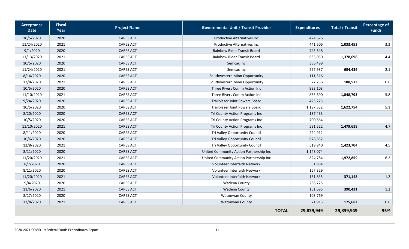| Acceptance<br><b>Date</b> | <b>Fiscal</b><br>Year | <b>Project Name</b> | <b>Governmental Unit / Transit Provider</b> | <b>Expenditures</b> | <b>Total / Transit</b> | <b>Percentage of</b><br><b>Funds</b> |
|---------------------------|-----------------------|---------------------|---------------------------------------------|---------------------|------------------------|--------------------------------------|
| 10/5/2020                 | 2020                  | <b>CARES ACT</b>    | <b>Productive Alternatives Inc</b>          | 424,626             |                        |                                      |
| 11/24/2020                | 2021                  | <b>CARES ACT</b>    | <b>Productive Alternatives Inc</b>          | 441,606             | 1,033,453              | 3.3                                  |
| 9/1/2020                  | 2020                  | <b>CARES ACT</b>    | Rainbow Rider Transit Board                 | 745,648             |                        |                                      |
| 11/13/2020                | 2021                  | <b>CARES ACT</b>    | Rainbow Rider Transit Board                 | 633,050             | 1,378,698              | 4.4                                  |
| 10/5/2020                 | 2020                  | <b>CARES ACT</b>    | Semcac Inc                                  | 356,499             |                        |                                      |
| 11/24/2020                | 2021                  | <b>CARES ACT</b>    | Semcac Inc                                  | 297,937             | 654,436                | 2.1                                  |
| 8/14/2020                 | 2020                  | <b>CARES ACT</b>    | Southwestern Minn Opportunity               | 111,316             |                        |                                      |
| 12/8/2020                 | 2021                  | <b>CARES ACT</b>    | Southwestern Minn Opportunity               | 77,256              | 188,573                | $0.6\,$                              |
| 10/5/2020                 | 2020                  | <b>CARES ACT</b>    | Three Rivers Comm Action Inc                | 993,103             |                        |                                      |
| 11/10/2020                | 2021                  | <b>CARES ACT</b>    | Three Rivers Comm Action Inc                | 855,690             | 1,848,793              | 5.8                                  |
| 9/24/2020                 | 2020                  | <b>CARES ACT</b>    | Trailblazer Joint Powers Board              | 425,223             |                        |                                      |
| 10/5/2020                 | 2020                  | <b>CARES ACT</b>    | Trailblazer Joint Powers Board              | 1,197,532           | 1,622,754              | 5.1                                  |
| 8/20/2020                 | 2020                  | <b>CARES ACT</b>    | Tri County Action Programs Inc              | 187,433             |                        |                                      |
| 10/5/2020                 | 2020                  | <b>CARES ACT</b>    | Tri County Action Programs Inc              | 700,664             |                        |                                      |
| 11/10/2020                | 2021                  | <b>CARES ACT</b>    | Tri County Action Programs Inc              | 591,522             | 1,479,618              | 4.7                                  |
| 8/11/2020                 | 2020                  | <b>CARES ACT</b>    | Tri Valley Opportunity Council              | 224,912             |                        |                                      |
| 10/6/2020                 | 2020                  | <b>CARES ACT</b>    | Tri Valley Opportunity Council              | 678,852             |                        |                                      |
| 12/8/2020                 | 2021                  | <b>CARES ACT</b>    | Tri Valley Opportunity Council              | 519,940             | 1,423,704              | 4.5                                  |
| 8/11/2020                 | 2020                  | <b>CARES ACT</b>    | United Community Action Partnership Inc     | 1,148,074           |                        |                                      |
| 11/20/2020                | 2021                  | <b>CARES ACT</b>    | United Community Action Partnership Inc     | 824,784             | 1,972,859              | $6.2\,$                              |
| 8/7/2020                  | 2020                  | <b>CARES ACT</b>    | Volunteer Interfaith Network                | 51,984              |                        |                                      |
| 8/11/2020                 | 2020                  | <b>CARES ACT</b>    | Volunteer Interfaith Network                | 167,329             |                        |                                      |
| 11/20/2020                | 2021                  | <b>CARES ACT</b>    | Volunteer Interfaith Network                | 151,835             | 371,148                | 1.2                                  |
| 9/4/2020                  | 2020                  | <b>CARES ACT</b>    | Wadena County                               | 238,725             |                        |                                      |
| 11/6/2020                 | 2021                  | <b>CARES ACT</b>    | Wadena County                               | 151,695             | 390,421                | 1.2                                  |
| 8/17/2020                 | 2020                  | <b>CARES ACT</b>    | Watonwan County                             | 103,769             |                        |                                      |
| 12/8/2020                 | 2021                  | <b>CARES ACT</b>    | <b>Watonwan County</b>                      | 71,913              | 175,682                | 0.6                                  |
|                           |                       |                     | <b>TOTAL</b>                                | 29,839,949          | 29,839,949             | 95%                                  |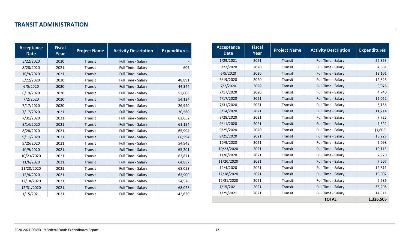<span id="page-11-0"></span>

| <b>Acceptance</b><br><b>Date</b> | <b>Fiscal</b><br>Year | <b>Project Name</b> | <b>Activity Description</b> | <b>Expenditures</b> |
|----------------------------------|-----------------------|---------------------|-----------------------------|---------------------|
| 5/22/2020                        | 2020                  | Transit             | Full Time - Salary          |                     |
| 8/28/2020                        | 2021                  | Transit             | Full Time - Salary          | 605                 |
| 10/9/2020                        | 2021                  | Transit             | Full Time - Salary          |                     |
| 5/22/2020                        | 2020                  | Transit             | Full Time - Salary          | 48,891              |
| 6/5/2020                         | 2020                  | Transit             | Full Time - Salary          | 44,344              |
| 6/19/2020                        | 2020                  | Transit             | Full Time - Salary          | 52,608              |
| 7/2/2020                         | 2020                  | Transit             | Full Time - Salary          | 54,124              |
| 7/17/2020                        | 2020                  | Transit             | Full Time - Salary          | 26,940              |
| 7/17/2020                        | 2021                  | Transit             | Full Time - Salary          | 20,560              |
| 7/31/2020                        | 2021                  | Transit             | Full Time - Salary          | 62,652              |
| 8/14/2020                        | 2021                  | Transit             | Full Time - Salary          | 61,154              |
| 8/28/2020                        | 2021                  | Transit             | Full Time - Salary          | 65,994              |
| 9/11/2020                        | 2021                  | Transit             | Full Time - Salary          | 66,594              |
| 9/25/2020                        | 2021                  | Transit             | Full Time - Salary          | 54,943              |
| 10/9/2020                        | 2021                  | Transit             | Full Time - Salary          | 65,201              |
| 10/23/2020                       | 2021                  | Transit             | Full Time - Salary          | 63,871              |
| 11/6/2020                        | 2021                  | Transit             | Full Time - Salary          | 64,887              |
| 11/20/2020                       | 2021                  | Transit             | Full Time - Salary          | 68,058              |
| 12/4/2020                        | 2021                  | Transit             | Full Time - Salary          | 62,900              |
| 12/18/2020                       | 2021                  | Transit             | Full Time - Salary          | 54,578              |
| 12/31/2020                       | 2021                  | Transit             | Full Time - Salary          | 68,028              |
| 1/15/2021                        | 2021                  | Transit             | Full Time - Salary          | 42,620              |

| <b>Acceptance</b><br><b>Date</b> | <b>Fiscal</b><br>Year | <b>Project Name</b> | <b>Activity Description</b> | <b>Expenditures</b> |
|----------------------------------|-----------------------|---------------------|-----------------------------|---------------------|
| 1/29/2021                        | 2021                  | Transit             | Full Time - Salary          | 56,853              |
| 5/22/2020                        | 2020                  | Transit             | Full Time - Salary          | 4,861               |
| 6/5/2020                         | 2020                  | Transit             | Full Time - Salary          | 12,101              |
| 6/19/2020                        | 2020                  | Transit             | Full Time - Salary          | 12,825              |
| 7/2/2020                         | 2020                  | Transit             | Full Time - Salary          | 9,078               |
| 7/17/2020                        | 2020                  | Transit             | Full Time - Salary          | 4,740               |
| 7/17/2020                        | 2021                  | Transit             | Full Time - Salary          | 12,052              |
| 7/31/2020                        | 2021                  | Transit             | Full Time - Salary          | 6,156               |
| 8/14/2020                        | 2021                  | Transit             | Full Time - Salary          | 11,214              |
| 8/28/2020                        | 2021                  | Transit             | Full Time - Salary          | 7,725               |
| 9/11/2020                        | 2021                  | Transit             | Full Time - Salary          | 7,322               |
| 9/25/2020                        | 2020                  | Transit             | Full Time - Salary          | (1,805)             |
| 9/25/2020                        | 2021                  | Transit             | Full Time - Salary          | 16,227              |
| 10/9/2020                        | 2021                  | Transit             | Full Time - Salary          | 5,098               |
| 10/23/2020                       | 2021                  | Transit             | Full Time - Salary          | 10,113              |
| 11/6/2020                        | 2021                  | Transit             | Full Time - Salary          | 7,970               |
| 11/20/2020                       | 2021                  | Transit             | Full Time - Salary          | 7,507               |
| 12/4/2020                        | 2021                  | Transit             | Full Time - Salary          | 12,811              |
| 12/18/2020                       | 2021                  | Transit             | Full Time - Salary          | 19,902              |
| 12/31/2020                       | 2021                  | Transit             | Full Time - Salary          | 6,686               |
| 1/15/2021                        | 2021                  | Transit             | Full Time - Salary          | 33,208              |
| 1/29/2021                        | 2021                  | Transit             | Full Time - Salary          | 14,311              |
|                                  |                       |                     | <b>TOTAL</b>                | 1,326,505           |

#### 2020-2021 COVID-19 Federal Funds Expenditures Report 12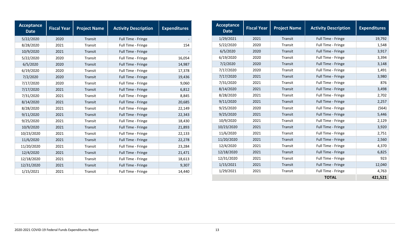| <b>Acceptance</b><br><b>Date</b> | <b>Fiscal Year</b> | <b>Project Name</b> | <b>Activity Description</b> | <b>Expenditures</b> |
|----------------------------------|--------------------|---------------------|-----------------------------|---------------------|
| 5/22/2020                        | 2020               | Transit             | Full Time - Fringe          |                     |
| 8/28/2020                        | 2021               | Transit             | Full Time - Fringe          | 154                 |
| 10/9/2020                        | 2021               | Transit             | Full Time - Fringe          |                     |
| 5/22/2020                        | 2020               | Transit             | Full Time - Fringe          | 16,054              |
| 6/5/2020                         | 2020               | Transit             | Full Time - Fringe          | 14,987              |
| 6/19/2020                        | 2020               | Transit             | Full Time - Fringe          | 17,378              |
| 7/2/2020                         | 2020               | Transit             | Full Time - Fringe          | 19,436              |
| 7/17/2020                        | 2020               | Transit             | Full Time - Fringe          | 9,060               |
| 7/17/2020                        | 2021               | Transit             | Full Time - Fringe          | 6,812               |
| 7/31/2020                        | 2021               | Transit             | Full Time - Fringe          | 8,845               |
| 8/14/2020                        | 2021               | Transit             | Full Time - Fringe          | 20,685              |
| 8/28/2020                        | 2021               | Transit             | Full Time - Fringe          | 22,149              |
| 9/11/2020                        | 2021               | Transit             | Full Time - Fringe          | 22,343              |
| 9/25/2020                        | 2021               | Transit             | Full Time - Fringe          | 18,430              |
| 10/9/2020                        | 2021               | Transit             | Full Time - Fringe          | 21,893              |
| 10/23/2020                       | 2021               | Transit             | Full Time - Fringe          | 22,133              |
| 11/6/2020                        | 2021               | Transit             | Full Time - Fringe          | 22,278              |
| 11/20/2020                       | 2021               | Transit             | Full Time - Fringe          | 23,284              |
| 12/4/2020                        | 2021               | Transit             | Full Time - Fringe          | 21,471              |
| 12/18/2020                       | 2021               | Transit             | Full Time - Fringe          | 18,613              |
| 12/31/2020                       | 2021               | Transit             | Full Time - Fringe          | 9,307               |
| 1/15/2021                        | 2021               | Transit             | Full Time - Fringe          | 14,440              |

| <b>Acceptance</b><br><b>Date</b> | <b>Fiscal Year</b> | <b>Project Name</b> | <b>Activity Description</b> | <b>Expenditures</b> |
|----------------------------------|--------------------|---------------------|-----------------------------|---------------------|
| 1/29/2021                        | 2021               | Transit             | Full Time - Fringe          | 19,792              |
| 5/22/2020                        | 2020               | Transit             | Full Time - Fringe          | 1,548               |
| 6/5/2020                         | 2020               | Transit             | Full Time - Fringe          | 3,917               |
| 6/19/2020                        | 2020               | Transit             | Full Time - Fringe          | 3,394               |
| 7/2/2020                         | 2020               | Transit             | Full Time - Fringe          | 3,148               |
| 7/17/2020                        | 2020               | Transit             | Full Time - Fringe          | 1,491               |
| 7/17/2020                        | 2021               | Transit             | Full Time - Fringe          | 3,980               |
| 7/31/2020                        | 2021               | Transit             | Full Time - Fringe          | 876                 |
| 8/14/2020                        | 2021               | Transit             | Full Time - Fringe          | 3,498               |
| 8/28/2020                        | 2021               | Transit             | Full Time - Fringe          | 2,702               |
| 9/11/2020                        | 2021               | Transit             | Full Time - Fringe          | 2,257               |
| 9/25/2020                        | 2020               | Transit             | Full Time - Fringe          | (564)               |
| 9/25/2020                        | 2021               | Transit             | Full Time - Fringe          | 5,446               |
| 10/9/2020                        | 2021               | Transit             | Full Time - Fringe          | 2,129               |
| 10/23/2020                       | 2021               | Transit             | Full Time - Fringe          | 3,920               |
| 11/6/2020                        | 2021               | Transit             | Full Time - Fringe          | 2,751               |
| 11/20/2020                       | 2021               | Transit             | Full Time - Fringe          | 2,560               |
| 12/4/2020                        | 2021               | Transit             | Full Time - Fringe          | 4,370               |
| 12/18/2020                       | 2021               | Transit             | Full Time - Fringe          | 6,825               |
| 12/31/2020                       | 2021               | Transit             | Full Time - Fringe          | 923                 |
| 1/15/2021                        | 2021               | Transit             | Full Time - Fringe          | 12,040              |
| 1/29/2021                        | 2021               | Transit             | Full Time - Fringe          | 4,763               |
|                                  |                    |                     | <b>TOTAL</b>                | 421,521             |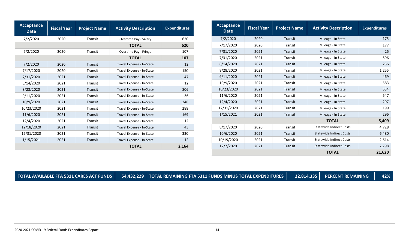| Acceptance<br><b>Date</b> | <b>Fiscal Year</b> | <b>Project Name</b> | <b>Activity Description</b> | <b>Expenditures</b> | Acceptance<br><b>Date</b> | <b>Fiscal Year</b> | <b>Project Name</b> | <b>Activity Description</b>     |  |
|---------------------------|--------------------|---------------------|-----------------------------|---------------------|---------------------------|--------------------|---------------------|---------------------------------|--|
| 7/2/2020                  | 2020               | Transit             | Overtime Pay - Salary       | 620                 | 7/2/2020                  | 2020               | Transit             | Mileage - In State              |  |
|                           |                    |                     | <b>TOTAL</b>                | 620                 | 7/17/2020                 | 2020               | Transit             | Mileage - In State              |  |
| 7/2/2020                  | 2020               | Transit             | Overtime Pay - Fringe       | 107                 | 7/31/2020                 | 2021               | Transit             | Mileage - In State              |  |
|                           |                    |                     | <b>TOTAL</b>                | 107                 | 7/31/2020                 | 2021               | Transit             | Mileage - In State              |  |
| 7/2/2020                  | 2020               | Transit             | Travel Expense - In-State   | 12                  | 8/14/2020                 | 2021               | Transit             | Mileage - In State              |  |
| 7/17/2020                 | 2020               | Transit             | Travel Expense - In-State   | 150                 | 8/28/2020                 | 2021               | Transit             | Mileage - In State              |  |
| 7/31/2020                 | 2021               | Transit             | Travel Expense - In-State   | 47                  | 9/11/2020                 | 2021               | Transit             | Mileage - In State              |  |
| 8/14/2020                 | 2021               | Transit             | Travel Expense - In-State   | 12                  | 10/9/2020                 | 2021               | Transit             | Mileage - In State              |  |
| 8/28/2020                 | 2021               | Transit             | Travel Expense - In-State   | 806                 | 10/23/2020                | 2021               | Transit             | Mileage - In State              |  |
| 9/11/2020                 | 2021               | Transit             | Travel Expense - In-State   | 36                  | 11/6/2020                 | 2021               | Transit             | Mileage - In State              |  |
| 10/9/2020                 | 2021               | Transit             | Travel Expense - In-State   | 248                 | 12/4/2020                 | 2021               | Transit             | Mileage - In State              |  |
| 10/23/2020                | 2021               | Transit             | Travel Expense - In-State   | 288                 | 12/31/2020                | 2021               | Transit             | Mileage - In State              |  |
| 11/6/2020                 | 2021               | Transit             | Travel Expense - In-State   | 169                 | 1/15/2021                 | 2021               | Transit             | Mileage - In State              |  |
| 12/4/2020                 | 2021               | Transit             | Travel Expense - In-State   | 12                  |                           |                    |                     | <b>TOTAL</b>                    |  |
| 12/18/2020                | 2021               | Transit             | Travel Expense - In-State   | 43                  | 8/17/2020                 | 2020               | Transit             | <b>Statewide Indirect Costs</b> |  |
| 12/31/2020                | 2021               | Transit             | Travel Expense - In-State   | 330                 | 10/6/2020                 | 2021               | Transit             | <b>Statewide Indirect Costs</b> |  |
| 1/15/2021                 | 2021               | Transit             | Travel Expense - In-State   | 12                  | 10/19/2020                | 2021               | Transit             | <b>Statewide Indirect Costs</b> |  |
|                           |                    |                     | <b>TOTAL</b>                | 2,164               | 12/7/2020                 | 2021               | Transit             | <b>Statewide Indirect Costs</b> |  |
|                           |                    |                     |                             |                     |                           |                    |                     | <b>TOTAL</b>                    |  |

| TOTAL AVAILABLE FTA 5311 CARES ACT FUNDS   54,432,229   TOTAL REMAINING FTA 5311 FUNDS MINUS TOTAL EXPENDITURES   22,814,335   PERCENT REMAINING   \<br>$-42%$ |  |
|----------------------------------------------------------------------------------------------------------------------------------------------------------------|--|
|----------------------------------------------------------------------------------------------------------------------------------------------------------------|--|